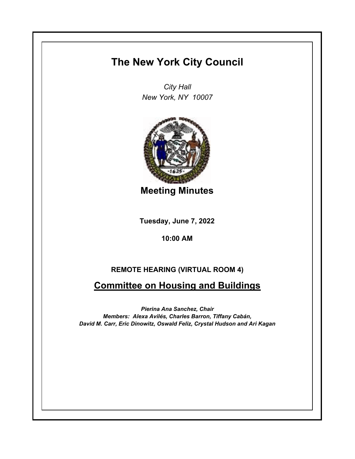## **The New York City Council**

*City Hall New York, NY 10007*



**Meeting Minutes**

**Tuesday, June 7, 2022**

**10:00 AM**

## **REMOTE HEARING (VIRTUAL ROOM 4)**

## **Committee on Housing and Buildings**

*Pierina Ana Sanchez, Chair Members: Alexa Avilés, Charles Barron, Tiffany Cabán, David M. Carr, Eric Dinowitz, Oswald Feliz, Crystal Hudson and Ari Kagan*